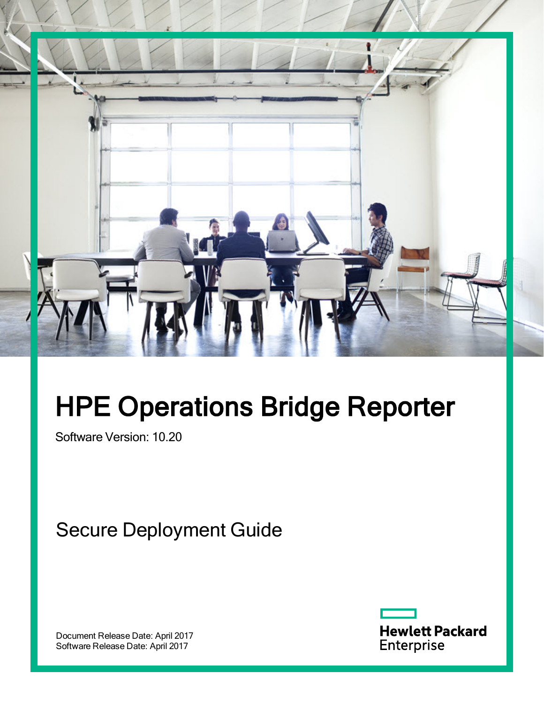

# HPE Operations Bridge Reporter

Software Version: 10.20

Secure Deployment Guide

Document Release Date: April 2017 Software Release Date: April 2017

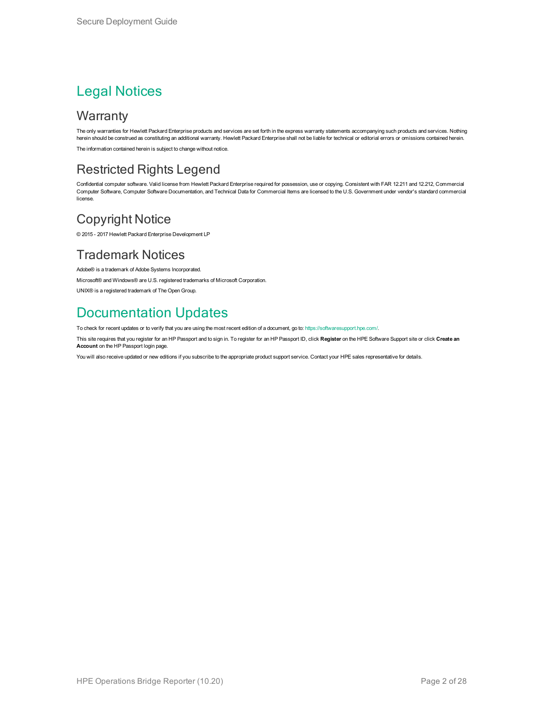#### Legal Notices

#### **Warranty**

The only warranties for Hewlett Packard Enterprise products and services are set forth in the express warranty statements accompanying such products and services. Nothing herein should be construed as constituting an additional warranty. Hewlett Packard Enterprise shall not be liable for technical or editorial errors or omissions contained herein. The information contained herein is subject to change without notice.

#### Restricted Rights Legend

Confidential computer software. Valid license from Hewlett Packard Enterprise required for possession, use or copying. Consistent with FAR 12.211 and 12.212, Commercial Computer Software, Computer Software Documentation, and Technical Data for Commercial Items are licensed to the U.S. Government under vendor's standard commercial license.

#### Copyright Notice

© 2015 - 2017 Hewlett Packard Enterprise Development LP

#### Trademark Notices

Adobe® is a trademark of Adobe Systems Incorporated.

Microsoft® and Windows® are U.S. registered trademarks of Microsoft Corporation.

UNIX® is a registered trademark of The Open Group.

#### Documentation Updates

To check for recent updates or to verify that you are using the most recent edition of a document, go to: <https://softwaresupport.hpe.com/>.

This site requires that you register for an HP Passport and to sign in. To register for an HP Passport ID, click **Register** on the HPE Software Support site or click **Create an Account** on the HP Passport login page.

You will also receive updated or new editions if you subscribe to the appropriate product support service. Contact your HPE sales representative for details.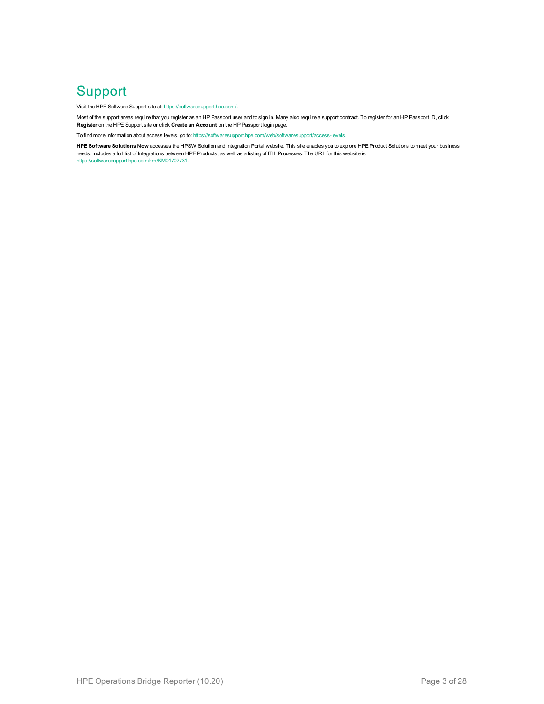#### **Support**

Visit the HPE Software Support site at: <https://softwaresupport.hpe.com/>.

Most of the support areas require that you register as an HP Passport user and to sign in. Many also require a support contract. To register for an HP Passport ID, click **Register** on the HPE Support site or click **Create an Account** on the HP Passport login page.

To find more information about access levels, go to: <https://softwaresupport.hpe.com/web/softwaresupport/access-levels>.

**HPE Software Solutions Now** accesses the HPSW Solution and Integration Portal website. This site enables you to explore HPE Product Solutions to meet your business needs, includes a full list of Integrations between HPE Products, as well as a listing of ITIL Processes. The URL for this website is [https://softwaresupport.hpe.com/km/KM01702731.](https://softwaresupport.hpe.com/km/KM01702731)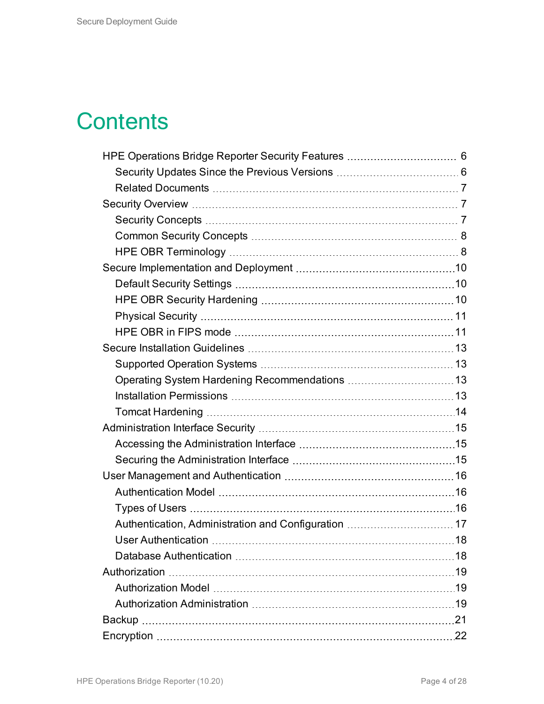## **Contents**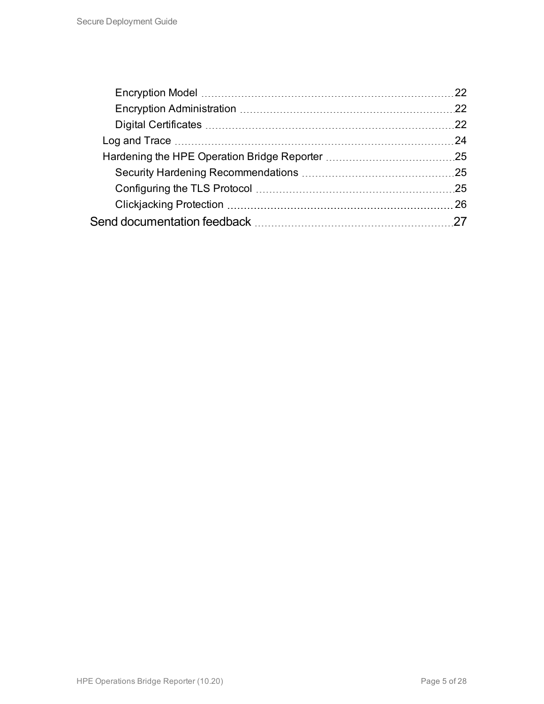| 22  |
|-----|
| 22  |
| 22  |
| 24  |
|     |
|     |
| .25 |
| 26  |
|     |
|     |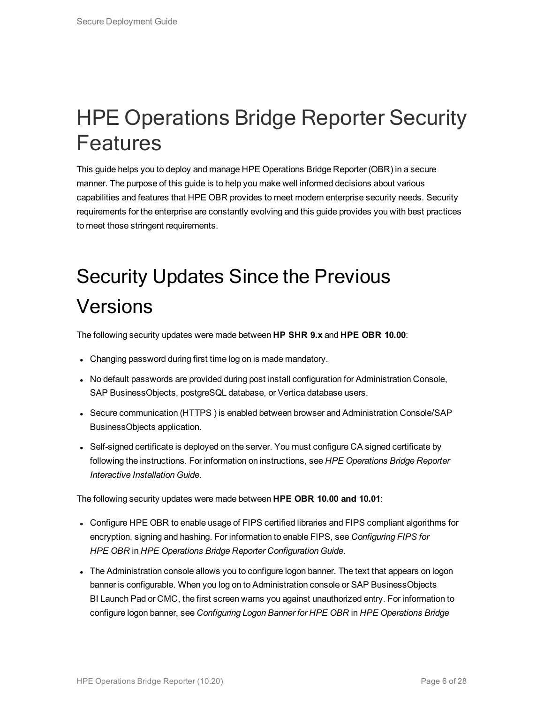## <span id="page-5-0"></span>HPE Operations Bridge Reporter Security Features

This guide helps you to deploy and manage HPE Operations Bridge Reporter (OBR) in a secure manner. The purpose of this guide is to help you make well informed decisions about various capabilities and features that HPE OBR provides to meet modern enterprise security needs. Security requirements for the enterprise are constantly evolving and this guide provides you with best practices to meet those stringent requirements.

# <span id="page-5-1"></span>Security Updates Since the Previous Versions

The following security updates were made between **HP SHR 9.x** and **HPE OBR 10.00**:

- Changing password during first time log on is made mandatory.
- No default passwords are provided during post install configuration for Administration Console, SAP BusinessObjects, postgreSQL database, or Vertica database users.
- Secure communication (HTTPS) is enabled between browser and Administration Console/SAP BusinessObjects application.
- Self-signed certificate is deployed on the server. You must configure CA signed certificate by following the instructions. For information on instructions, see *HPE Operations Bridge Reporter Interactive Installation Guide*.

The following security updates were made between **HPE OBR 10.00 and 10.01**:

- Configure HPE OBR to enable usage of FIPS certified libraries and FIPS compliant algorithms for encryption, signing and hashing. For information to enable FIPS, see *Configuring FIPS for HPE OBR* in *HPE Operations Bridge Reporter Configuration Guide*.
- The Administration console allows you to configure logon banner. The text that appears on logon banner is configurable. When you log on to Administration console or SAP BusinessObjects BI Launch Pad or CMC, the first screen warns you against unauthorized entry. For information to configure logon banner, see *Configuring Logon Banner for HPE OBR* in *HPE Operations Bridge*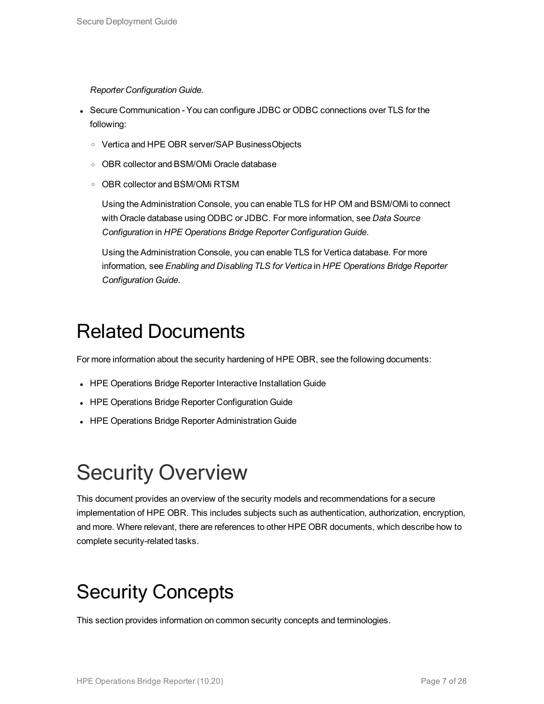#### *Reporter Configuration Guide*.

- Secure Communication You can configure JDBC or ODBC connections over TLS for the following:
	- <sup>o</sup> Vertica and HPE OBR server/SAP BusinessObjects
	- <sup>o</sup> OBR collector and BSM/OMi Oracle database
	- <sup>o</sup> OBR collector and BSM/OMi RTSM

Using the Administration Console, you can enable TLS for HP OM and BSM/OMi to connect with Oracle database using ODBC or JDBC. For more information, see *Data Source Configuration* in *HPE Operations Bridge Reporter Configuration Guide*.

Using the Administration Console, you can enable TLS for Vertica database. For more information, see *Enabling and Disabling TLS for Vertica* in *HPE Operations Bridge Reporter Configuration Guide*.

#### <span id="page-6-0"></span>Related Documents

For more information about the security hardening of HPE OBR, see the following documents:

- HPE Operations Bridge Reporter Interactive Installation Guide
- HPE Operations Bridge Reporter Configuration Guide
- <span id="page-6-1"></span>• HPE Operations Bridge Reporter Administration Guide

# Security Overview

This document provides an overview of the security models and recommendations for a secure implementation of HPE OBR. This includes subjects such as authentication, authorization, encryption, and more. Where relevant, there are references to other HPE OBR documents, which describe how to complete security-related tasks.

### <span id="page-6-2"></span>Security Concepts

This section provides information on common security concepts and terminologies.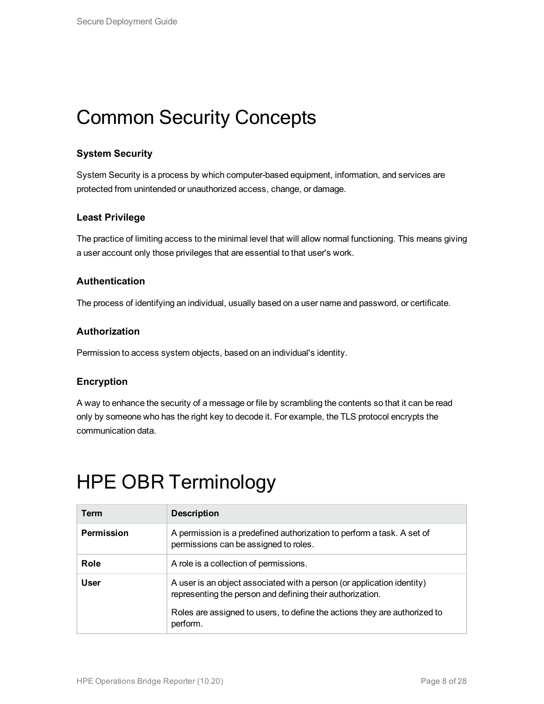### <span id="page-7-0"></span>Common Security Concepts

#### **System Security**

System Security is a process by which computer-based equipment, information, and services are protected from unintended or unauthorized access, change, or damage.

#### **Least Privilege**

The practice of limiting access to the minimal level that will allow normal functioning. This means giving a user account only those privileges that are essential to that user's work.

#### **Authentication**

The process of identifying an individual, usually based on a user name and password, or certificate.

#### **Authorization**

Permission to access system objects, based on an individual's identity.

#### **Encryption**

A way to enhance the security of a message or file by scrambling the contents so that it can be read only by someone who has the right key to decode it. For example, the TLS protocol encrypts the communication data.

| Term              | <b>Description</b>                                                                                                                  |
|-------------------|-------------------------------------------------------------------------------------------------------------------------------------|
| <b>Permission</b> | A permission is a predefined authorization to perform a task. A set of<br>permissions can be assigned to roles.                     |
| Role              | A role is a collection of permissions.                                                                                              |
| <b>User</b>       | A user is an object associated with a person (or application identity)<br>representing the person and defining their authorization. |
|                   | Roles are assigned to users, to define the actions they are authorized to<br>perform.                                               |

#### <span id="page-7-1"></span>HPE OBR Terminology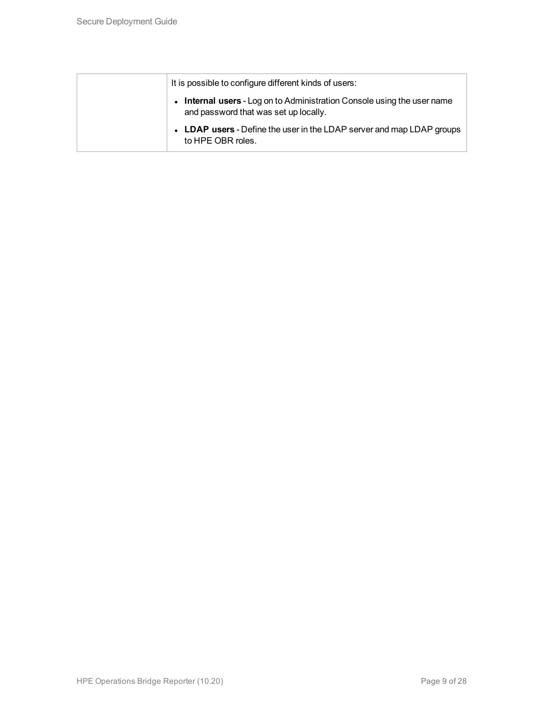| It is possible to configure different kinds of users:                                                                 |
|-----------------------------------------------------------------------------------------------------------------------|
| <b>Internal users</b> - Log on to Administration Console using the user name<br>and password that was set up locally. |
| • LDAP users - Define the user in the LDAP server and map LDAP groups<br>to HPE OBR roles.                            |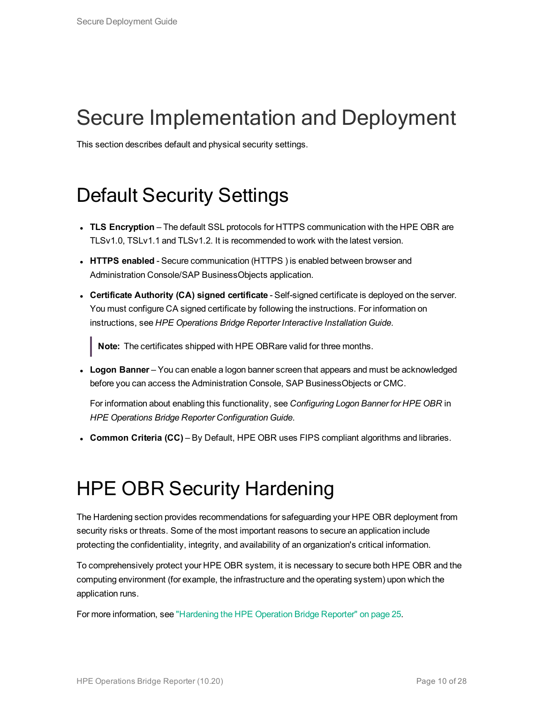# <span id="page-9-0"></span>Secure Implementation and Deployment

<span id="page-9-1"></span>This section describes default and physical security settings.

### Default Security Settings

- **TLS Encryption** The default SSL protocols for HTTPS communication with the HPE OBR are TLSv1.0, TSLv1.1 and TLSv1.2. It is recommended to work with the latest version.
- **HTTPS** enabled Secure communication (HTTPS) is enabled between browser and Administration Console/SAP BusinessObjects application.
- <sup>l</sup> **Certificate Authority (CA) signed certificate** Self-signed certificate is deployed on the server. You must configure CA signed certificate by following the instructions. For information on instructions, see *HPE Operations Bridge Reporter Interactive Installation Guide*.

**Note:** The certificates shipped with HPE OBRare valid for three months.

**Logon Banner** – You can enable a logon banner screen that appears and must be acknowledged before you can access the Administration Console, SAP BusinessObjects or CMC.

For information about enabling this functionality, see *Configuring Logon Banner for HPE OBR* in *HPE Operations Bridge Reporter Configuration Guide*.

<span id="page-9-2"></span><sup>l</sup> **Common Criteria (CC)** – By Default, HPE OBR uses FIPS compliant algorithms and libraries.

### HPE OBR Security Hardening

The Hardening section provides recommendations for safeguarding your HPE OBR deployment from security risks or threats. Some of the most important reasons to secure an application include protecting the confidentiality, integrity, and availability of an organization's critical information.

To comprehensively protect your HPE OBR system, it is necessary to secure both HPE OBR and the computing environment (for example, the infrastructure and the operating system) upon which the application runs.

For more information, see ["Hardening](#page-24-0) the HPE Operation Bridge Reporter" on page 25.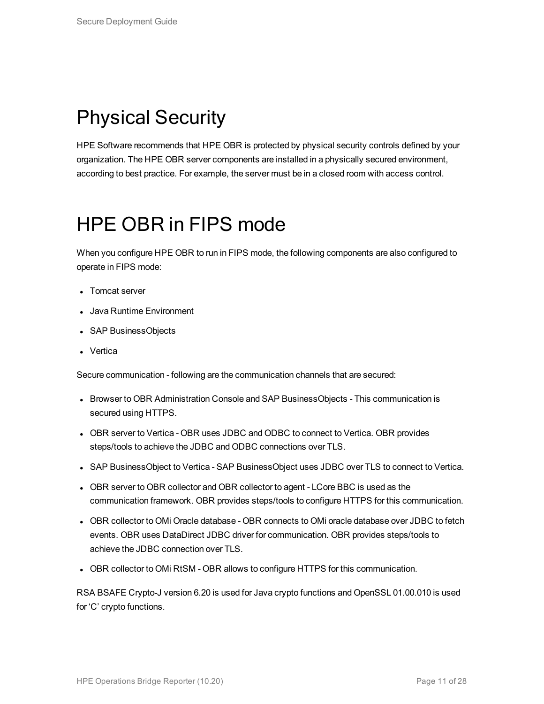### <span id="page-10-0"></span>Physical Security

HPE Software recommends that HPE OBR is protected by physical security controls defined by your organization. The HPE OBR server components are installed in a physically secured environment, according to best practice. For example, the server must be in a closed room with access control.

### <span id="page-10-1"></span>HPE OBR in FIPS mode

When you configure HPE OBR to run in FIPS mode, the following components are also configured to operate in FIPS mode:

- Tomcat server
- Java Runtime Environment
- SAP BusinessObjects
- Vertica

Secure communication - following are the communication channels that are secured:

- Browser to OBR Administration Console and SAP BusinessObjects This communication is secured using HTTPS.
- OBR server to Vertica OBR uses JDBC and ODBC to connect to Vertica. OBR provides steps/tools to achieve the JDBC and ODBC connections over TLS.
- SAP BusinessObject to Vertica SAP BusinessObject uses JDBC over TLS to connect to Vertica.
- OBR server to OBR collector and OBR collector to agent LCore BBC is used as the communication framework. OBR provides steps/tools to configure HTTPS for this communication.
- OBR collector to OMi Oracle database OBR connects to OMi oracle database over JDBC to fetch events. OBR uses DataDirect JDBC driver for communication. OBR provides steps/tools to achieve the JDBC connection over TLS.
- OBR collector to OMi RtSM OBR allows to configure HTTPS for this communication.

RSA BSAFE Crypto-J version 6.20 is used for Java crypto functions and OpenSSL 01.00.010 is used for 'C' crypto functions.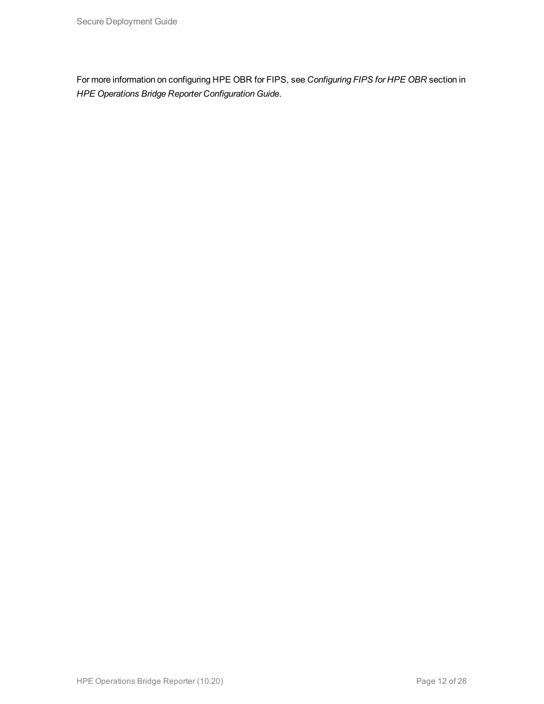For more information on configuring HPE OBR for FIPS, see *Configuring FIPS for HPE OBR* section in *HPE Operations Bridge Reporter Configuration Guide*.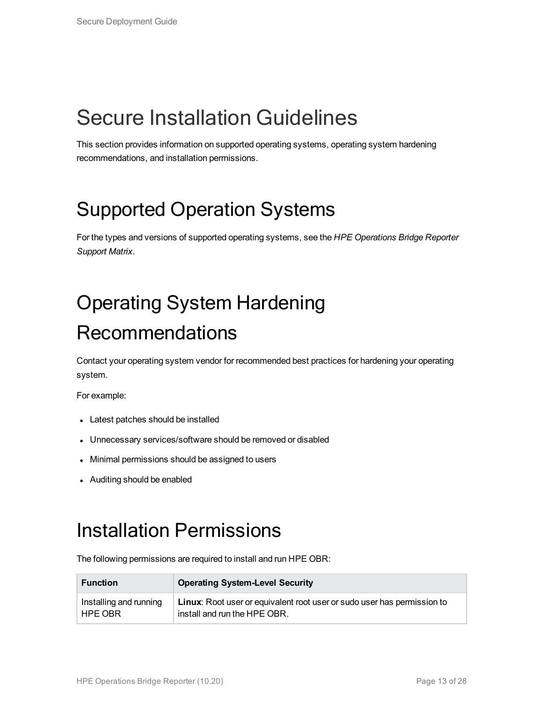## <span id="page-12-0"></span>Secure Installation Guidelines

<span id="page-12-1"></span>This section provides information on supported operating systems, operating system hardening recommendations, and installation permissions.

## Supported Operation Systems

<span id="page-12-2"></span>For the types and versions of supported operating systems, see the *HPE Operations Bridge Reporter Support Matrix*.

# Operating System Hardening Recommendations

Contact your operating system vendor for recommended best practices for hardening your operating system.

For example:

- Latest patches should be installed
- Unnecessary services/software should be removed or disabled
- Minimal permissions should be assigned to users
- <span id="page-12-3"></span>• Auditing should be enabled

#### Installation Permissions

The following permissions are required to install and run HPE OBR:

| <b>Function</b>        | <b>Operating System-Level Security</b>                                         |
|------------------------|--------------------------------------------------------------------------------|
| Installing and running | <b>Linux:</b> Root user or equivalent root user or sudo user has permission to |
| HPE OBR                | install and run the HPE OBR.                                                   |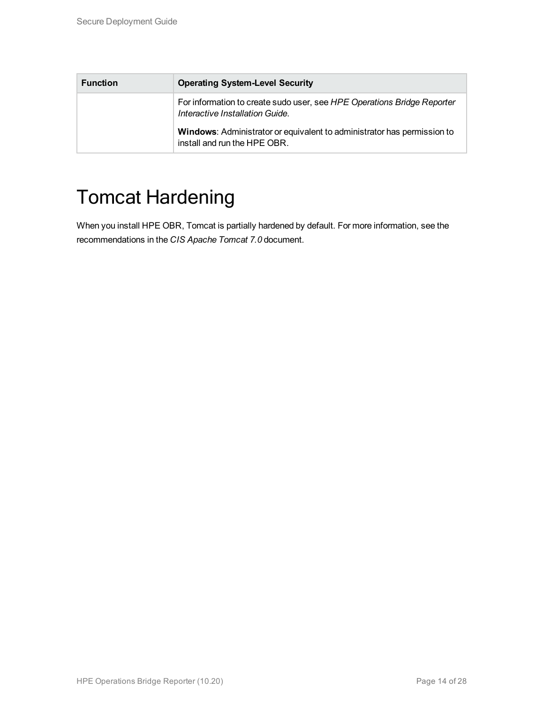| <b>Function</b> | <b>Operating System-Level Security</b>                                                                     |
|-----------------|------------------------------------------------------------------------------------------------------------|
|                 | For information to create sudo user, see HPE Operations Bridge Reporter<br>Interactive Installation Guide. |
|                 | Windows: Administrator or equivalent to administrator has permission to<br>install and run the HPE OBR.    |

### <span id="page-13-0"></span>Tomcat Hardening

When you install HPE OBR, Tomcat is partially hardened by default. For more information, see the recommendations in the *CIS Apache Tomcat 7.0* document.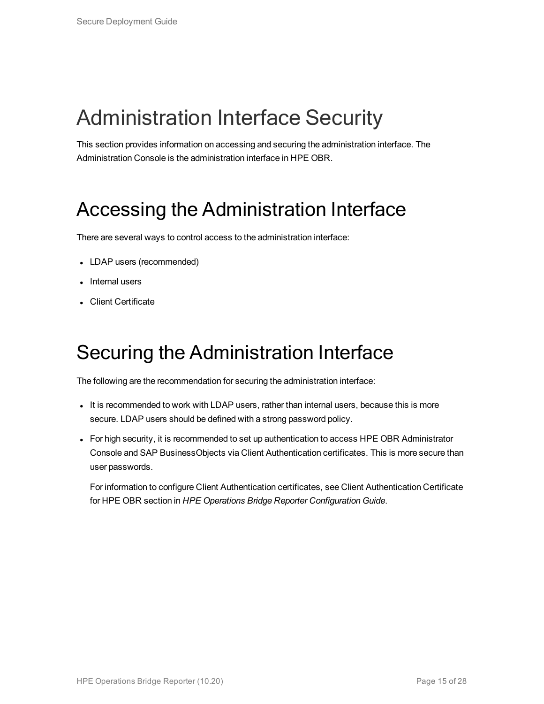## <span id="page-14-0"></span>Administration Interface Security

<span id="page-14-1"></span>This section provides information on accessing and securing the administration interface. The Administration Console is the administration interface in HPE OBR.

#### Accessing the Administration Interface

There are several ways to control access to the administration interface:

- LDAP users (recommended)
- Internal users
- <span id="page-14-2"></span>• Client Certificate

### Securing the Administration Interface

The following are the recommendation for securing the administration interface:

- It is recommended to work with LDAP users, rather than internal users, because this is more secure. LDAP users should be defined with a strong password policy.
- For high security, it is recommended to set up authentication to access HPE OBR Administrator Console and SAP BusinessObjects via Client Authentication certificates. This is more secure than user passwords.

For information to configure Client Authentication certificates, see Client Authentication Certificate for HPE OBR section in *HPE Operations Bridge Reporter Configuration Guide*.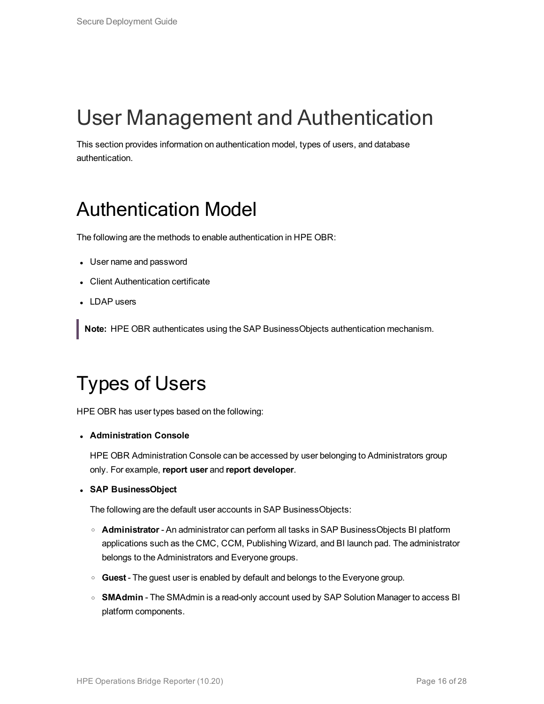# <span id="page-15-0"></span>User Management and Authentication

<span id="page-15-1"></span>This section provides information on authentication model, types of users, and database authentication.

#### Authentication Model

The following are the methods to enable authentication in HPE OBR:

- User name and password
- Client Authentication certificate
- LDAP users

<span id="page-15-2"></span>**Note:** HPE OBR authenticates using the SAP BusinessObjects authentication mechanism.

## Types of Users

HPE OBR has user types based on the following:

<sup>l</sup> **Administration Console**

HPE OBR Administration Console can be accessed by user belonging to Administrators group only. For example, **report user** and **report developer**.

<sup>l</sup> **SAP BusinessObject**

The following are the default user accounts in SAP BusinessObjects:

- <sup>o</sup> **Administrator** An administrator can perform all tasks in SAP BusinessObjects BI platform applications such as the CMC, CCM, Publishing Wizard, and BI launch pad. The administrator belongs to the Administrators and Everyone groups.
- <sup>o</sup> **Guest** The guest user is enabled by default and belongs to the Everyone group.
- **SMAdmin** The SMAdmin is a read-only account used by SAP Solution Manager to access BI platform components.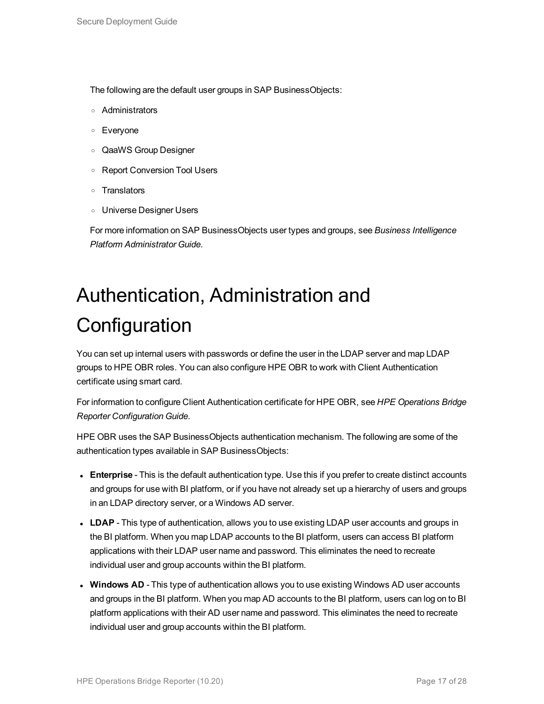The following are the default user groups in SAP BusinessObjects:

- <sup>o</sup> Administrators
- <sup>o</sup> Everyone
- <sup>o</sup> QaaWS Group Designer
- <sup>o</sup> Report Conversion Tool Users
- <sup>o</sup> Translators
- <sup>o</sup> Universe Designer Users

<span id="page-16-0"></span>For more information on SAP BusinessObjects user types and groups, see *Business Intelligence Platform Administrator Guide*.

# Authentication, Administration and **Configuration**

You can set up internal users with passwords or define the user in the LDAP server and map LDAP groups to HPE OBR roles. You can also configure HPE OBR to work with Client Authentication certificate using smart card.

For information to configure Client Authentication certificate for HPE OBR, see *HPE Operations Bridge Reporter Configuration Guide*.

HPE OBR uses the SAP BusinessObjects authentication mechanism. The following are some of the authentication types available in SAP BusinessObjects:

- **Enterprise** This is the default authentication type. Use this if you prefer to create distinct accounts and groups for use with BI platform, or if you have not already set up a hierarchy of users and groups in an LDAP directory server, or a Windows AD server.
- LDAP This type of authentication, allows you to use existing LDAP user accounts and groups in the BI platform. When you map LDAP accounts to the BI platform, users can access BI platform applications with their LDAP user name and password. This eliminates the need to recreate individual user and group accounts within the BI platform.
- **Windows AD** This type of authentication allows you to use existing Windows AD user accounts and groups in the BI platform. When you map AD accounts to the BI platform, users can log on to BI platform applications with their AD user name and password. This eliminates the need to recreate individual user and group accounts within the BI platform.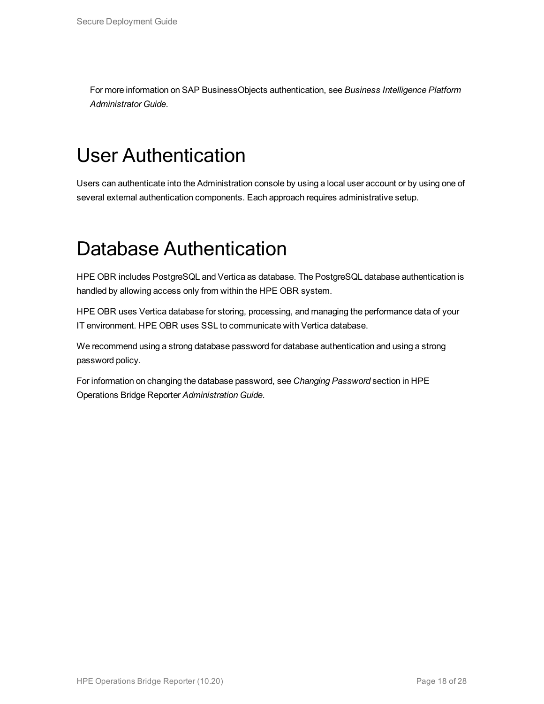<span id="page-17-0"></span>For more information on SAP BusinessObjects authentication, see *Business Intelligence Platform Administrator Guide*.

### User Authentication

<span id="page-17-1"></span>Users can authenticate into the Administration console by using a local user account or by using one of several external authentication components. Each approach requires administrative setup.

### Database Authentication

HPE OBR includes PostgreSQL and Vertica as database. The PostgreSQL database authentication is handled by allowing access only from within the HPE OBR system.

HPE OBR uses Vertica database for storing, processing, and managing the performance data of your IT environment. HPE OBR uses SSL to communicate with Vertica database.

We recommend using a strong database password for database authentication and using a strong password policy.

For information on changing the database password, see *Changing Password* section in HPE Operations Bridge Reporter *Administration Guide*.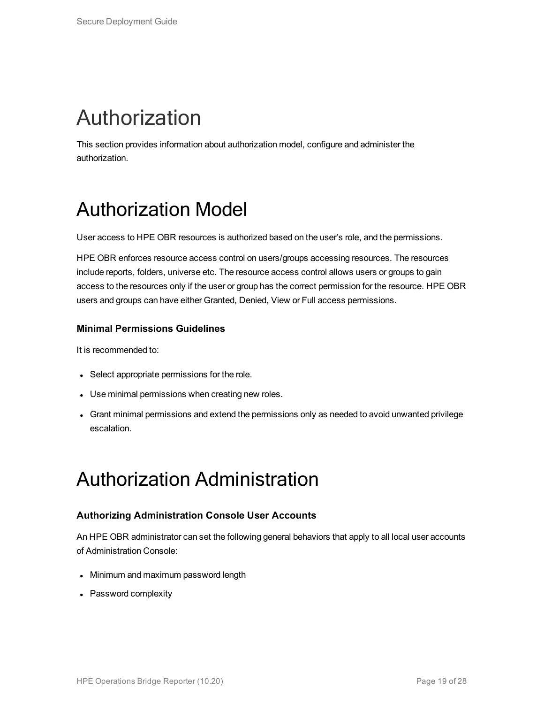# <span id="page-18-0"></span>Authorization

<span id="page-18-1"></span>This section provides information about authorization model, configure and administer the authorization.

### Authorization Model

User access to HPE OBR resources is authorized based on the user's role, and the permissions.

HPE OBR enforces resource access control on users/groups accessing resources. The resources include reports, folders, universe etc. The resource access control allows users or groups to gain access to the resources only if the user or group has the correct permission for the resource. HPE OBR users and groups can have either Granted, Denied, View or Full access permissions.

#### **Minimal Permissions Guidelines**

It is recommended to:

- Select appropriate permissions for the role.
- Use minimal permissions when creating new roles.
- <span id="page-18-2"></span>• Grant minimal permissions and extend the permissions only as needed to avoid unwanted privilege escalation.

#### Authorization Administration

#### **Authorizing Administration Console User Accounts**

An HPE OBR administrator can set the following general behaviors that apply to all local user accounts of Administration Console:

- Minimum and maximum password length
- Password complexity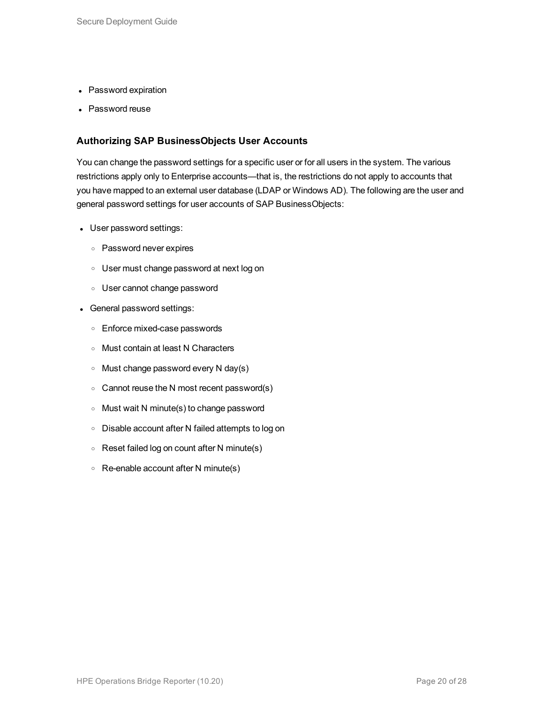- Password expiration
- Password reuse

#### **Authorizing SAP BusinessObjects User Accounts**

You can change the password settings for a specific user or for all users in the system. The various restrictions apply only to Enterprise accounts—that is, the restrictions do not apply to accounts that you have mapped to an external user database (LDAP or Windows AD). The following are the user and general password settings for user accounts of SAP BusinessObjects:

- User password settings:
	- <sup>o</sup> Password never expires
	- <sup>o</sup> User must change password at next log on
	- <sup>o</sup> User cannot change password
- General password settings:
	- <sup>o</sup> Enforce mixed-case passwords
	- <sup>o</sup> Must contain at least N Characters
	- $\circ$  Must change password every N day(s)
	- $\circ$  Cannot reuse the N most recent password(s)
	- <sup>o</sup> Must wait N minute(s) to change password
	- <sup>o</sup> Disable account after N failed attempts to log on
	- <sup>o</sup> Reset failed log on count after N minute(s)
	- $\circ$  Re-enable account after N minute(s)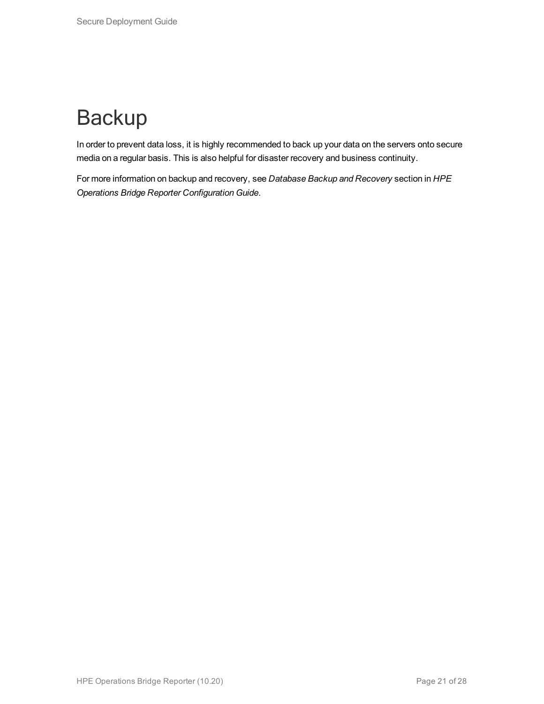# <span id="page-20-0"></span>**Backup**

In order to prevent data loss, it is highly recommended to back up your data on the servers onto secure media on a regular basis. This is also helpful for disaster recovery and business continuity.

For more information on backup and recovery, see *Database Backup and Recovery* section in *HPE Operations Bridge Reporter Configuration Guide*.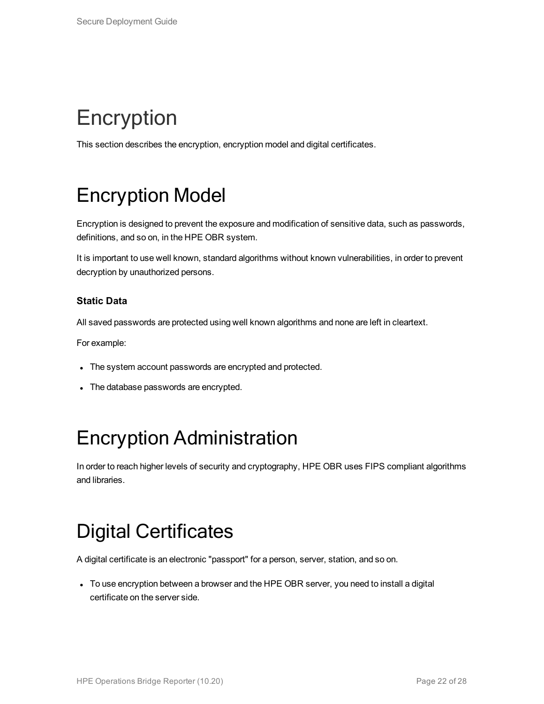# <span id="page-21-0"></span>**Encryption**

<span id="page-21-1"></span>This section describes the encryption, encryption model and digital certificates.

## Encryption Model

Encryption is designed to prevent the exposure and modification of sensitive data, such as passwords, definitions, and so on, in the HPE OBR system.

It is important to use well known, standard algorithms without known vulnerabilities, in order to prevent decryption by unauthorized persons.

#### **Static Data**

All saved passwords are protected using well known algorithms and none are left in cleartext.

For example:

- The system account passwords are encrypted and protected.
- <span id="page-21-2"></span>• The database passwords are encrypted.

### Encryption Administration

<span id="page-21-3"></span>In order to reach higher levels of security and cryptography, HPE OBR uses FIPS compliant algorithms and libraries.

### Digital Certificates

A digital certificate is an electronic "passport" for a person, server, station, and so on.

• To use encryption between a browser and the HPE OBR server, you need to install a digital certificate on the server side.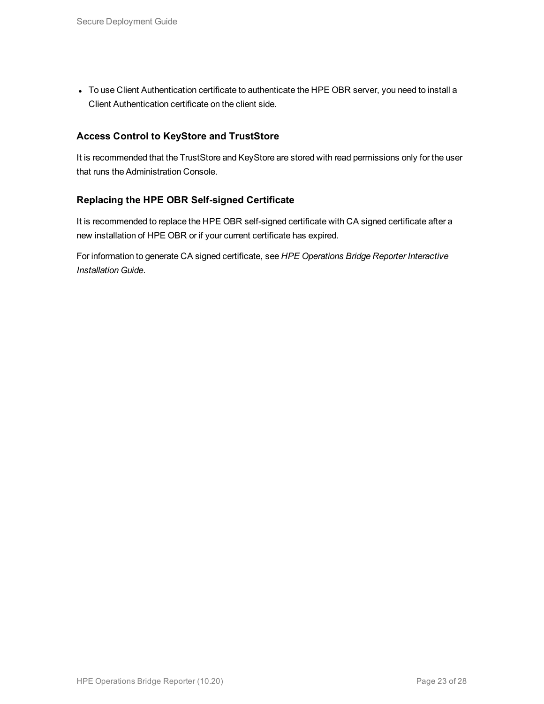• To use Client Authentication certificate to authenticate the HPE OBR server, you need to install a Client Authentication certificate on the client side.

#### **Access Control to KeyStore and TrustStore**

It is recommended that the TrustStore and KeyStore are stored with read permissions only for the user that runs the Administration Console.

#### **Replacing the HPE OBR Self-signed Certificate**

It is recommended to replace the HPE OBR self-signed certificate with CA signed certificate after a new installation of HPE OBR or if your current certificate has expired.

For information to generate CA signed certificate, see *HPE Operations Bridge Reporter Interactive Installation Guide*.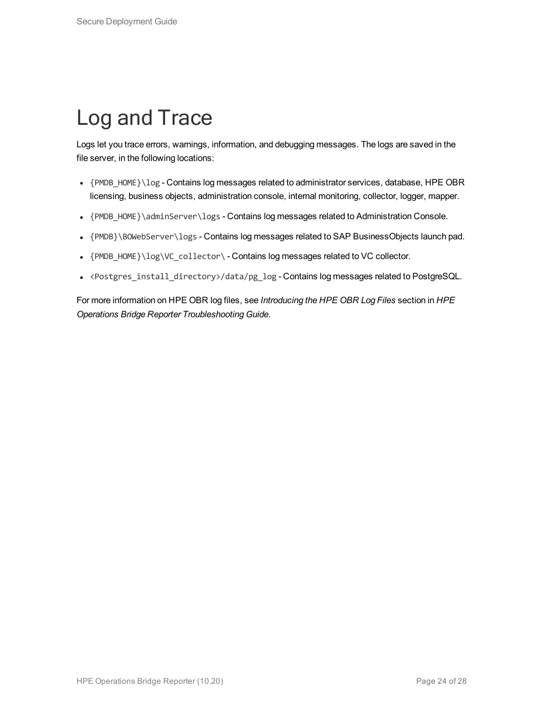# <span id="page-23-0"></span>Log and Trace

Logs let you trace errors, warnings, information, and debugging messages. The logs are saved in the file server, in the following locations:

- ${PMDB HOME}\ldots{PDC}$  Contains log messages related to administrator services, database, HPE OBR licensing, business objects, administration console, internal monitoring, collector, logger, mapper.
- {PMDB\_HOME}\adminServer\logs Contains log messages related to Administration Console.
- {PMDB}\BOWebServer\logs Contains log messages related to SAP BusinessObjects launch pad.
- {PMDB\_HOME}\log\VC\_collector\ Contains log messages related to VC collector.
- <Postgres\_install\_directory>/data/pg\_log Contains log messages related to PostgreSQL.

For more information on HPE OBR log files, see *Introducing the HPE OBR Log Files* section in *HPE Operations Bridge Reporter Troubleshooting Guide*.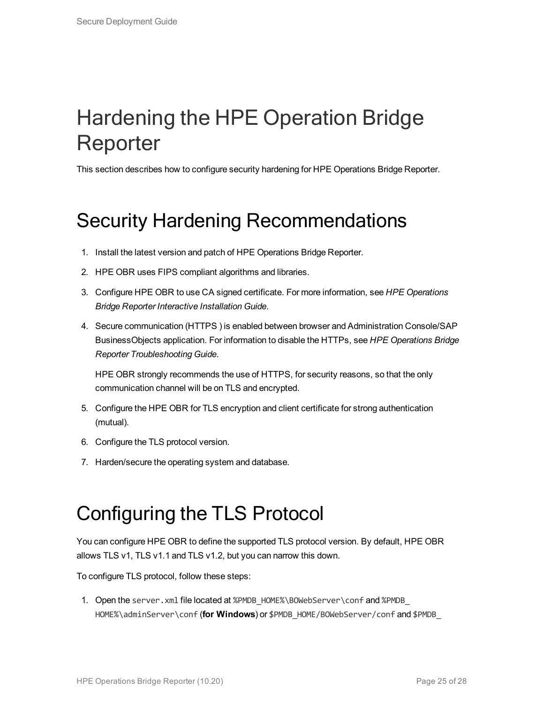## <span id="page-24-0"></span>Hardening the HPE Operation Bridge Reporter

<span id="page-24-1"></span>This section describes how to configure security hardening for HPE Operations Bridge Reporter.

## Security Hardening Recommendations

- 1. Install the latest version and patch of HPE Operations Bridge Reporter.
- 2. HPE OBR uses FIPS compliant algorithms and libraries.
- 3. Configure HPE OBR to use CA signed certificate. For more information, see *HPE Operations Bridge Reporter Interactive Installation Guide*.
- 4. Secure communication (HTTPS ) is enabled between browser and Administration Console/SAP BusinessObjects application. For information to disable the HTTPs, see *HPE Operations Bridge Reporter Troubleshooting Guide*.

HPE OBR strongly recommends the use of HTTPS, for security reasons, so that the only communication channel will be on TLS and encrypted.

- 5. Configure the HPE OBR for TLS encryption and client certificate for strong authentication (mutual).
- 6. Configure the TLS protocol version.
- <span id="page-24-2"></span>7. Harden/secure the operating system and database.

### Configuring the TLS Protocol

You can configure HPE OBR to define the supported TLS protocol version. By default, HPE OBR allows TLS v1, TLS v1.1 and TLS v1.2, but you can narrow this down.

To configure TLS protocol, follow these steps:

1. Open the server.xml file located at %PMDB\_HOME%\BOWebServer\conf and %PMDB HOME%\adminServer\conf (**for Windows**) or \$PMDB\_HOME/BOWebServer/conf and \$PMDB\_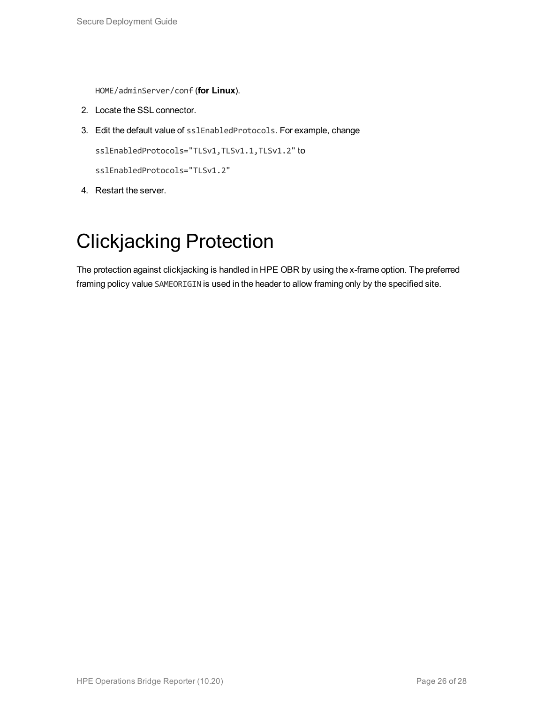HOME/adminServer/conf (**for Linux**).

- 2. Locate the SSL connector.
- 3. Edit the default value of sslEnabledProtocols. For example, change

sslEnabledProtocols="TLSv1,TLSv1.1,TLSv1.2" to

sslEnabledProtocols="TLSv1.2"

<span id="page-25-0"></span>4. Restart the server.

### Clickjacking Protection

The protection against clickjacking is handled in HPE OBR by using the x-frame option. The preferred framing policy value SAMEORIGIN is used in the header to allow framing only by the specified site.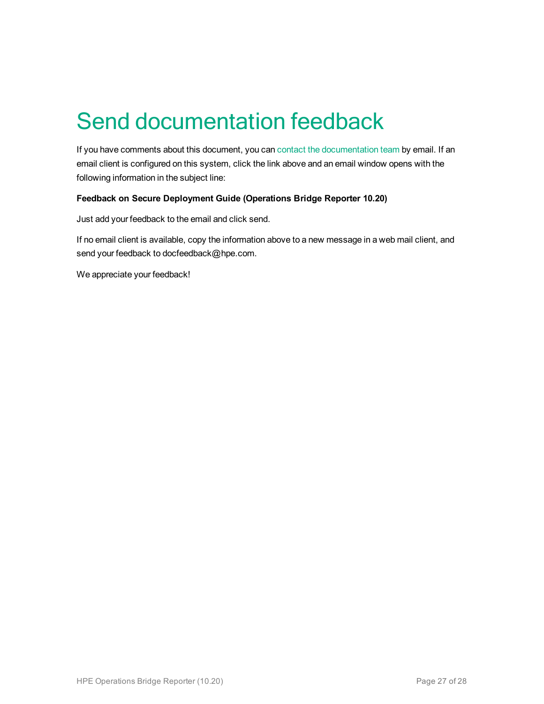# <span id="page-26-0"></span>Send documentation feedback

If you have comments about this document, you can contact the [documentation](mailto:docfeedback@hpe.com?subject=Feedback on Secure Deployment Guide (Operations Bridge Reporter 10.20)) team by email. If an email client is configured on this system, click the link above and an email window opens with the following information in the subject line:

#### **Feedback on Secure Deployment Guide (Operations Bridge Reporter 10.20)**

Just add your feedback to the email and click send.

If no email client is available, copy the information above to a new message in a web mail client, and send your feedback to docfeedback@hpe.com.

We appreciate your feedback!